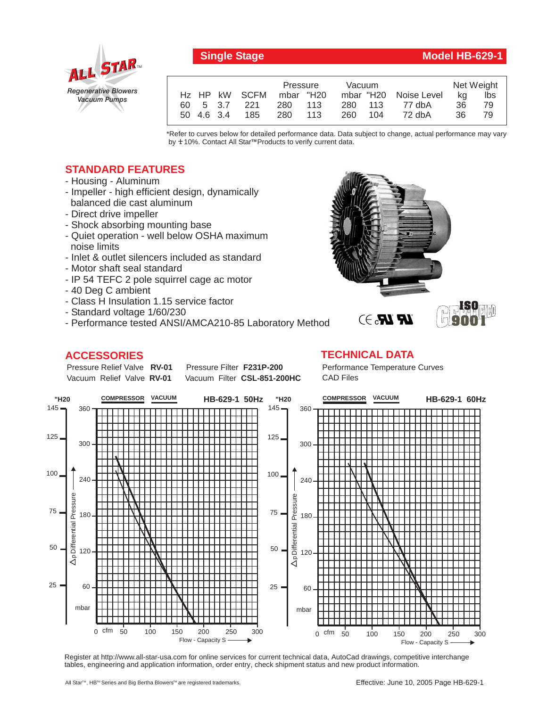

## **Single Stage Model HB-629-1**

|            |               | Pressure  |  | Vacuum |         |                       | Net Weight |     |
|------------|---------------|-----------|--|--------|---------|-----------------------|------------|-----|
|            | Hz HP kW SCFM | mbar "H20 |  |        |         | mbar "H20 Noise Level | ka         | lbs |
|            | 60 5 3.7 221  | 280 113   |  |        | 280 113 | 77 dbA                | 36         | 79  |
| 50 4.6 3.4 | 185           | 280 113   |  | 260    | 104     | 72 dbA                | 36.        | 79  |

\*Refer to curves below for detailed performance data. Data subject to change, actual performance may vary by **+** 10%. Contact All Star™Products to verify current data.

## **STANDARD FEATURES**

- Housing Aluminum
- Impeller high efficient design, dynamically balanced die cast aluminum
- Direct drive impeller
- Shock absorbing mounting base
- Quiet operation well below OSHA maximum noise limits
- Inlet & outlet silencers included as standard
- Motor shaft seal standard
- IP 54 TEFC 2 pole squirrel cage ac motor
- 40 Deg C ambient
- Class H Insulation 1.15 service factor
- Standard voltage 1/60/230
- Performance tested ANSI/AMCA210-85 Laboratory Method

## **ACCESSORIES**

Pressure Relief Valve RV-01 Vacuum Relief Valve RV-01

**Pressure Filter F231P-200** Vacuum Filter CSL-851-200HC Performance Temperature Curves CAD Files

**TECHNICAL DATA**



Register at http://www.all-star-usa.com for online services for current technical data, AutoCad drawings, competitive interchange tables, engineering and application information, order entry, check shipment status and new product information.